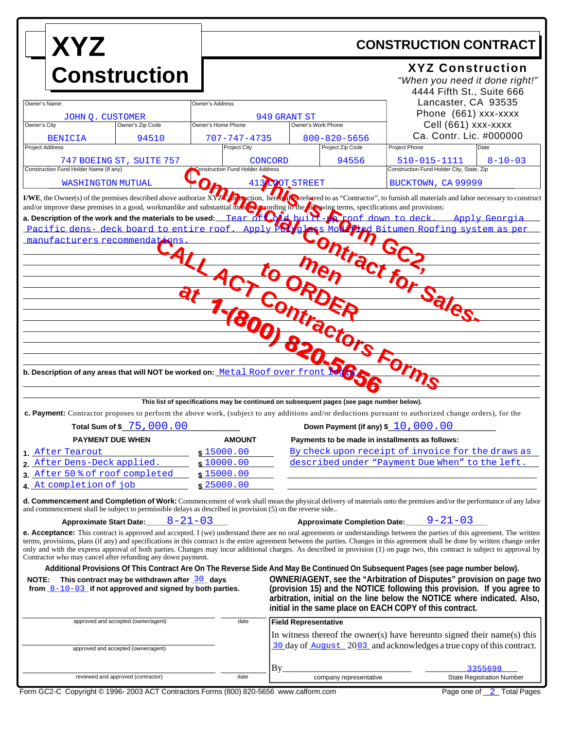| <b>XYZ</b>                                                                                                                                                                                                                                                                                                                                                                                                                                                                                                                                                                                                                                                                                                                                                                                                           |                                     | <b>CONSTRUCTION CONTRACT</b>                                                                                                             |                                                                                                                                                                                                                             |
|----------------------------------------------------------------------------------------------------------------------------------------------------------------------------------------------------------------------------------------------------------------------------------------------------------------------------------------------------------------------------------------------------------------------------------------------------------------------------------------------------------------------------------------------------------------------------------------------------------------------------------------------------------------------------------------------------------------------------------------------------------------------------------------------------------------------|-------------------------------------|------------------------------------------------------------------------------------------------------------------------------------------|-----------------------------------------------------------------------------------------------------------------------------------------------------------------------------------------------------------------------------|
| <b>Construction</b>                                                                                                                                                                                                                                                                                                                                                                                                                                                                                                                                                                                                                                                                                                                                                                                                  |                                     |                                                                                                                                          | <b>XYZ Construction</b><br>"When you need it done right!"<br>4444 Fifth St., Suite 666                                                                                                                                      |
| Owner's Name:<br>JOHN O. CUSTOMER                                                                                                                                                                                                                                                                                                                                                                                                                                                                                                                                                                                                                                                                                                                                                                                    | Owner's Address                     | 949 GRANT ST                                                                                                                             | Lancaster, CA 93535<br>Phone (661) xxx-xxxx                                                                                                                                                                                 |
| Owner's City<br>Owner's Zip Code                                                                                                                                                                                                                                                                                                                                                                                                                                                                                                                                                                                                                                                                                                                                                                                     | Owner's Home Phone                  | Owner's Work Phone                                                                                                                       | Cell (661) xxx-xxxx                                                                                                                                                                                                         |
| 94510<br><b>BENICIA</b><br>Project Address                                                                                                                                                                                                                                                                                                                                                                                                                                                                                                                                                                                                                                                                                                                                                                           | 707-747-4735<br><b>Project City</b> | $800 - 820 - 5656$<br>Project Zip Code                                                                                                   | Ca. Contr. Lic. #000000<br>Project Phone<br>Date                                                                                                                                                                            |
| 747 BOEING ST, SUITE 757                                                                                                                                                                                                                                                                                                                                                                                                                                                                                                                                                                                                                                                                                                                                                                                             | CONCORD                             | 94556                                                                                                                                    | 510-015-1111<br>$8 - 10 - 03$                                                                                                                                                                                               |
| Construction Fund Holder Name (If any)                                                                                                                                                                                                                                                                                                                                                                                                                                                                                                                                                                                                                                                                                                                                                                               | onstruction Fund Holder Address     |                                                                                                                                          | Construction Fund Holder City, State, Zip                                                                                                                                                                                   |
| WASHINGTON MUTUAL                                                                                                                                                                                                                                                                                                                                                                                                                                                                                                                                                                                                                                                                                                                                                                                                    |                                     | 413 LOOT STREET                                                                                                                          | BUCKTOWN, CA 99999                                                                                                                                                                                                          |
| I/WE, the Owner(s) of the premises described above authorize $\overline{XYZ}$ on perfection, here in the preferred to as "Contractor", to furnish all materials and labor necessary to construct<br>and/or improve these premises in a good, workmanlike and substantial man. Or cording to the <i>fore wing terms</i> , specifications and provisions:<br>a. Description of the work and the materials to be used: Tear of Cold built-A roof down to deck. Apply Georgia<br>Pacific dens- deck board to entire roof. Apply PC / ql<br>manufacturers recommendations<br>-AL<br>b. Description of any areas that will NOT be worked on: Metal Roof over from<br>c. Payment: Contractor proposes to perform the above work, (subject to any additions and/or deductions pursuant to authorized change orders), for the |                                     | <b>ass Mode</b><br>Sontract<br>actors Forms<br>This list of specifications may be continued on subsequent pages (see page number below). | Ted Bitumen Roofing system as per                                                                                                                                                                                           |
| Total Sum of \$75,000.00                                                                                                                                                                                                                                                                                                                                                                                                                                                                                                                                                                                                                                                                                                                                                                                             |                                     | Down Payment (if any) \$ 10,000.00                                                                                                       |                                                                                                                                                                                                                             |
| <b>PAYMENT DUE WHEN</b>                                                                                                                                                                                                                                                                                                                                                                                                                                                                                                                                                                                                                                                                                                                                                                                              | <b>AMOUNT</b>                       | Payments to be made in installments as follows:                                                                                          |                                                                                                                                                                                                                             |
| 1 After Tearout                                                                                                                                                                                                                                                                                                                                                                                                                                                                                                                                                                                                                                                                                                                                                                                                      | \$15000.00                          |                                                                                                                                          | By check upon receipt of invoice for the draws as                                                                                                                                                                           |
| 2. After Dens-Deck applied.                                                                                                                                                                                                                                                                                                                                                                                                                                                                                                                                                                                                                                                                                                                                                                                          | \$10000.00                          |                                                                                                                                          | described under "Payment Due When" to the left.                                                                                                                                                                             |
| 3 After 50% of roof completed                                                                                                                                                                                                                                                                                                                                                                                                                                                                                                                                                                                                                                                                                                                                                                                        | \$15000.00                          |                                                                                                                                          |                                                                                                                                                                                                                             |
| 4 At completion of job<br><b>d. Commencement and Completion of Work:</b> Commencement of work shall mean the physical delivery of materials onto the premises and/or the performance of any labor<br>and commencement shall be subject to permissible delays as described in provision (5) on the reverse side                                                                                                                                                                                                                                                                                                                                                                                                                                                                                                       | \$25000.00                          |                                                                                                                                          |                                                                                                                                                                                                                             |
| $8 - 21 - 03$<br><b>Approximate Start Date:</b>                                                                                                                                                                                                                                                                                                                                                                                                                                                                                                                                                                                                                                                                                                                                                                      |                                     | <b>Approximate Completion Date:</b>                                                                                                      | $9 - 21 - 03$                                                                                                                                                                                                               |
| <b>e. Acceptance:</b> This contract is approved and accepted. I (we) understand there are no oral agreements or understandings between the parties of this agreement. The written<br>terms, provisions, plans (if any) and specifications in this contract is the entire agreement between the parties. Changes in this agreement shall be done by written change order<br>only and with the express approval of both parties. Changes may incur additional charges. As described in provision (1) on page two, this contract is subject to approval by<br>Contractor who may cancel after refunding any down payment.<br>Additional Provisions Of This Contract Are On The Reverse Side And May Be Continued On Subsequent Pages (see page number below).                                                           |                                     |                                                                                                                                          |                                                                                                                                                                                                                             |
| NOTE: This contract may be withdrawn after $\frac{30}{10}$ days<br>from $8-10-03$ if not approved and signed by both parties.                                                                                                                                                                                                                                                                                                                                                                                                                                                                                                                                                                                                                                                                                        |                                     | initial in the same place on EACH COPY of this contract.                                                                                 | OWNER/AGENT, see the "Arbitration of Disputes" provision on page two<br>(provision 15) and the NOTICE following this provision. If you agree to<br>arbitration, initial on the line below the NOTICE where indicated. Also, |
| approved and accepted (owner/agent)                                                                                                                                                                                                                                                                                                                                                                                                                                                                                                                                                                                                                                                                                                                                                                                  | date                                | <b>Field Representative</b>                                                                                                              |                                                                                                                                                                                                                             |
|                                                                                                                                                                                                                                                                                                                                                                                                                                                                                                                                                                                                                                                                                                                                                                                                                      |                                     |                                                                                                                                          | In witness thereof the owner(s) have hereunto signed their name(s) this                                                                                                                                                     |
|                                                                                                                                                                                                                                                                                                                                                                                                                                                                                                                                                                                                                                                                                                                                                                                                                      |                                     |                                                                                                                                          |                                                                                                                                                                                                                             |
| approved and accepted (owner/agent)                                                                                                                                                                                                                                                                                                                                                                                                                                                                                                                                                                                                                                                                                                                                                                                  |                                     |                                                                                                                                          | 30 day of August 2003 and acknowledges a true copy of this contract.                                                                                                                                                        |
|                                                                                                                                                                                                                                                                                                                                                                                                                                                                                                                                                                                                                                                                                                                                                                                                                      |                                     | By.                                                                                                                                      | 3355698                                                                                                                                                                                                                     |